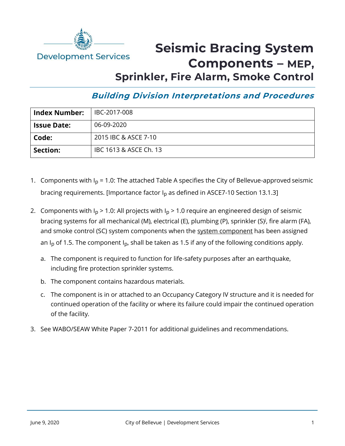

## **Seismic Bracing System Components – MEP, Sprinkler, Fire Alarm, Smoke Control**

**Building Division Interpretations and Procedures**

| <b>Index Number:</b> | IBC-2017-008           |
|----------------------|------------------------|
| <b>Issue Date:</b>   | 06-09-2020             |
| Code:                | 2015 IBC & ASCE 7-10   |
| Section:             | IBC 1613 & ASCE Ch. 13 |

- 1. Components with  $I_p = 1.0$ : The attached Table A specifies the City of Bellevue-approved seismic bracing requirements. [Importance factor  $I_p$  as defined in ASCE7-10 Section 13.1.3]
- 2. Components with  $I_p > 1.0$ : All projects with  $I_p > 1.0$  require an engineered design of seismic bracing systems for all mechanical (M), electrical (E), plumbing (P), sprinkler (S)<sup>j</sup>, fire alarm (FA), and smoke control (SC) system components when the system component has been assigned an  $I<sub>p</sub>$  of 1.5. The component  $I<sub>p</sub>$ , shall be taken as 1.5 if any of the following conditions apply.
	- a. The component is required to function for life-safety purposes after an earthquake, including fire protection sprinkler systems.
	- b. The component contains hazardous materials.
	- c. The component is in or attached to an Occupancy Category IV structure and it is needed for continued operation of the facility or where its failure could impair the continued operation of the facility.
- 3. See WABO/SEAW White Paper 7-2011 for additional guidelines and recommendations.